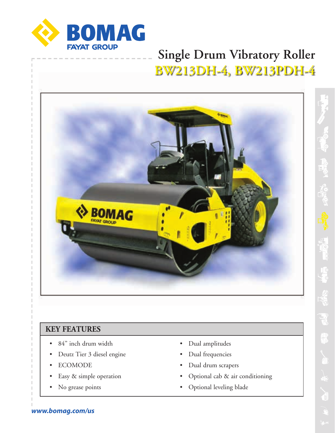

# **Single Drum Vibratory Roller BW213DH-4, BW213PDH-4**



### **KEY FEATURES**

- 84" inch drum width
- Deutz Tier 3 diesel engine
- ECOMODE
- Easy & simple operation
- No grease points
- Dual amplitudes
- Dual frequencies
- Dual drum scrapers
- Optional cab & air conditioning
- Optional leveling blade

*www.bomag.com/us*

**RATION**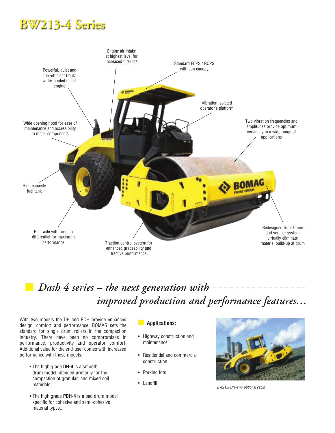# **BW213-4 Series**



## n *Dash 4 series – the next generation with improved production and performance features…*

With two models the DH and PDH provide enhanced design, comfort and performance. BOMAG sets the standard for single drum rollers in the compaction industry. There have been no compromises in performance, productivity and operator comfort. Additional value for the end-user comes with increased performance with these models:

- The high grade **DH-4** is a smooth drum model intended primarily for the compaction of granular and mixed soil materials.
- The high grade **PDH-4** is a pad drum model specific for cohesive and semi-cohesive material types..

#### n **Applications:**

- Highway construction and maintenance
- Residential and commercial construction
- Parking lots
- Landfill



*BW213PDH-4 w/ optional cabin*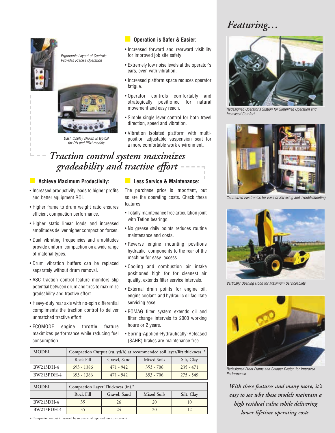## *Featuring…*



*Ergonomic Layout of Controls Provides Precise Operation*



*Dash display shown is typical for DH and PDH models*

#### **n** Operation is Safer & Easier:

- Increased forward and rearward visibility for improved job site safety.
- Extremely low noise levels at the operator's ears, even with vibration.
- Increased platform space reduces operator fatigue.
- Operator controls comfortably and strategically positioned for natural movement and easy reach.
- Simple single lever control for both travel direction, speed and vibration.
- Vibration isolated platform with multiposition adjustable suspension seat for a more comfortable work environment.

## *Traction control system maximizes gradeability and tractive effort*

#### **n Achieve Maximum Productivity:**

- Increased productivity leads to higher profits and better equipment ROI.
- Higher frame to drum weight ratio ensures efficient compaction performance.
- Higher static linear loads and increased amplitudes deliver higher compaction forces.
- Dual vibrating frequencies and amplitudes provide uniform compaction on a wide range of material types.
- Drum vibration buffers can be replaced separately without drum removal.
- ASC traction control feature monitors slip potential between drum and tires to maximize gradeability and tractive effort.
- Heavy-duty rear axle with no-spin differential compliments the traction control to deliver unmatched tractive effort.
- ECOMODE engine throttle feature maximizes performance while reducing fuel consumption.

#### **n** Less Service & Maintenance:

The purchase price is important, but so are the operating costs. Check these features:

- Totally maintenance free articulation joint with Teflon bearings.
- No grease daily points reduces routine maintenance and costs.
- Reverse engine mounting positions hydraulic components to the rear of the machine for easy access.
- Cooling and combustion air intake positioned high for for cleanest air quality, extends filter service intervals.
- External drain points for engine oil, engine coolant and hydraulic oil facilitate servicing ease.
- BOMAG filter system extends oil and filter change intervals to 2000 working hours or 2 years.
- Spring-Applied-Hydraulically-Released (SAHR) brakes are maintenance free

| <b>MODEL</b> | Compaction Output (cu. yd/h) at recommended soil layer/lift thickness. * |              |             |             |  |  |  |  |  |
|--------------|--------------------------------------------------------------------------|--------------|-------------|-------------|--|--|--|--|--|
|              | Rock Fill                                                                | Gravel, Sand | Mixed Soils | Silt, Clay  |  |  |  |  |  |
| BW213DH-4    | $693 - 1386$                                                             | $471 - 942$  | $353 - 706$ | $235 - 471$ |  |  |  |  |  |
| $BW213PDH-4$ | $693 - 1386$                                                             | $471 - 942$  | $353 - 706$ | $275 - 549$ |  |  |  |  |  |

| <b>MODEL</b> | Compaction Layer Thickness (in).* |              |                    |            |  |  |  |  |
|--------------|-----------------------------------|--------------|--------------------|------------|--|--|--|--|
|              | Rock Fill                         | Gravel, Sand | <b>Mixed Soils</b> | Silt, Clay |  |  |  |  |
| BW213DH-4    | 35                                |              | 20                 |            |  |  |  |  |
| BW213PDH-4   |                                   |              |                    |            |  |  |  |  |

\* Compaction output influenced by soil/material type and moisture content.



*Redesigned Operator's Station for Simplified Operation and Increased Comfort*



*Centralized Electronics for Ease of Servicing and Troubleshooting*



*Vertically Opening Hood for Maximum Serviceability*



*Redesigned Front Frame and Scraper Design for Improved Performance*

*With these features and many more, it's easy to see why these models maintain a high residual value while delivering lower lifetime operating costs.*